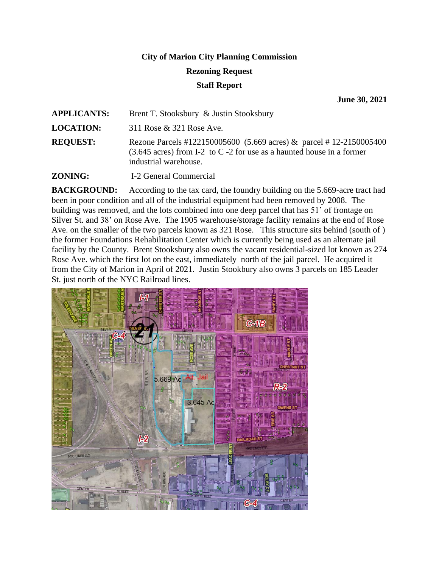# **City of Marion City Planning Commission Rezoning Request Staff Report**

**June 30, 2021**

| <b>APPLICANTS:</b> | Brent T. Stooksbury & Justin Stooksbury                                                                                                                                        |
|--------------------|--------------------------------------------------------------------------------------------------------------------------------------------------------------------------------|
| <b>LOCATION:</b>   | 311 Rose & 321 Rose Ave.                                                                                                                                                       |
| <b>REQUEST:</b>    | Rezone Parcels #122150005600 (5.669 acres) & parcel #12-2150005400<br>$(3.645 \text{ acres})$ from I-2 to C -2 for use as a haunted house in a former<br>industrial warehouse. |
| <b>ZONING:</b>     | I-2 General Commercial                                                                                                                                                         |

**BACKGROUND:** According to the tax card, the foundry building on the 5.669-acre tract had been in poor condition and all of the industrial equipment had been removed by 2008. The building was removed, and the lots combined into one deep parcel that has 51' of frontage on Silver St. and 38' on Rose Ave. The 1905 warehouse/storage facility remains at the end of Rose Ave. on the smaller of the two parcels known as 321 Rose. This structure sits behind (south of ) the former Foundations Rehabilitation Center which is currently being used as an alternate jail facility by the County. Brent Stooksbury also owns the vacant residential-sized lot known as 274 Rose Ave. which the first lot on the east, immediately north of the jail parcel. He acquired it from the City of Marion in April of 2021. Justin Stookbury also owns 3 parcels on 185 Leader St. just north of the NYC Railroad lines.

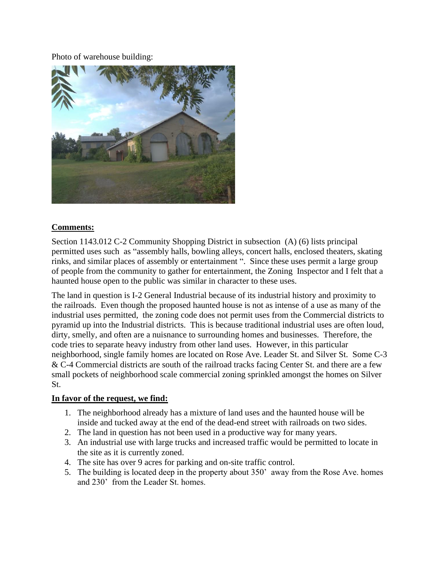#### Photo of warehouse building:



#### **Comments:**

Section 1143.012 C-2 Community Shopping District in subsection (A) (6) lists principal permitted uses such as "assembly halls, bowling alleys, concert halls, enclosed theaters, skating rinks, and similar places of assembly or entertainment ". Since these uses permit a large group of people from the community to gather for entertainment, the Zoning Inspector and I felt that a haunted house open to the public was similar in character to these uses.

The land in question is I-2 General Industrial because of its industrial history and proximity to the railroads. Even though the proposed haunted house is not as intense of a use as many of the industrial uses permitted, the zoning code does not permit uses from the Commercial districts to pyramid up into the Industrial districts. This is because traditional industrial uses are often loud, dirty, smelly, and often are a nuisnance to surrounding homes and businesses. Therefore, the code tries to separate heavy industry from other land uses. However, in this particular neighborhood, single family homes are located on Rose Ave. Leader St. and Silver St. Some C-3 & C-4 Commercial districts are south of the railroad tracks facing Center St. and there are a few small pockets of neighborhood scale commercial zoning sprinkled amongst the homes on Silver St.

### **In favor of the request, we find:**

- 1. The neighborhood already has a mixture of land uses and the haunted house will be inside and tucked away at the end of the dead-end street with railroads on two sides.
- 2. The land in question has not been used in a productive way for many years.
- 3. An industrial use with large trucks and increased traffic would be permitted to locate in the site as it is currently zoned.
- 4. The site has over 9 acres for parking and on-site traffic control.
- 5. The building is located deep in the property about 350' away from the Rose Ave. homes and 230' from the Leader St. homes.